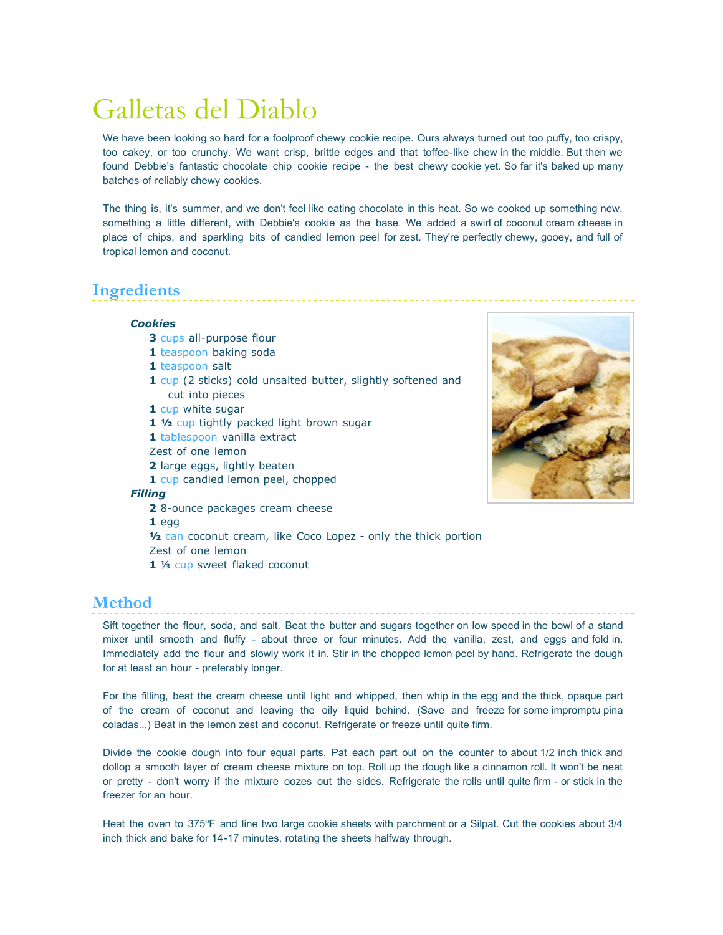# Galletas del Diablo

We have been looking so hard for a foolproof chewy cookie recipe. Ours always turned out too puffy, too crispy, too cakey, or too crunchy. We want crisp, brittle edges and that toffee-like chew in the middle. But then we found Debbie's fantastic chocolate chip cookie recipe - the best chewy cookie yet. So far it's baked up many batches of reliably chewy cookies.

The thing is, it's summer, and we don't feel like eating chocolate in this heat. So we cooked up something new, something a little different, with Debbie's cookie as the base. We added a swirl of coconut cream cheese in place of chips, and sparkling bits of candied lemon peel for zest. They're perfectly chewy, gooey, and full of tropical lemon and coconut.

## **Ingredients**

#### *Cookies*

- **3** cups all-purpose flour
- **1** teaspoon baking soda
- **1** teaspoon salt
- **1** cup (2 sticks) cold unsalted butter, slightly softened and cut into pieces
- **1** cup white sugar
- **1 ½** cup tightly packed light brown sugar
- **1** tablespoon vanilla extract
- Zest of one lemon
- **2** large eggs, lightly beaten
- **1** cup candied lemon peel, chopped

#### *Filling*

**2** 8-ounce packages cream cheese

**1** egg

- **½** can coconut cream, like Coco Lopez only the thick portion Zest of one lemon
- 1 1/<sub>3</sub> cup sweet flaked coconut

### **Method**

Sift together the flour, soda, and salt. Beat the butter and sugars together on low speed in the bowl of a stand mixer until smooth and fluffy - about three or four minutes. Add the vanilla, zest, and eggs and fold in. Immediately add the flour and slowly work it in. Stir in the chopped lemon peel by hand. Refrigerate the dough for at least an hour - preferably longer.

For the filling, beat the cream cheese until light and whipped, then whip in the egg and the thick, opaque part of the cream of coconut and leaving the oily liquid behind. (Save and freeze for some impromptu pina coladas...) Beat in the lemon zest and coconut. Refrigerate or freeze until quite firm.

Divide the cookie dough into four equal parts. Pat each part out on the counter to about 1/2 inch thick and dollop a smooth layer of cream cheese mixture on top. Roll up the dough like a cinnamon roll. It won't be neat or pretty - don't worry if the mixture oozes out the sides. Refrigerate the rolls until quite firm - or stick in the freezer for an hour.

Heat the oven to 375ºF and line two large cookie sheets with parchment or a Silpat. Cut the cookies about 3/4 inch thick and bake for 14-17 minutes, rotating the sheets halfway through.